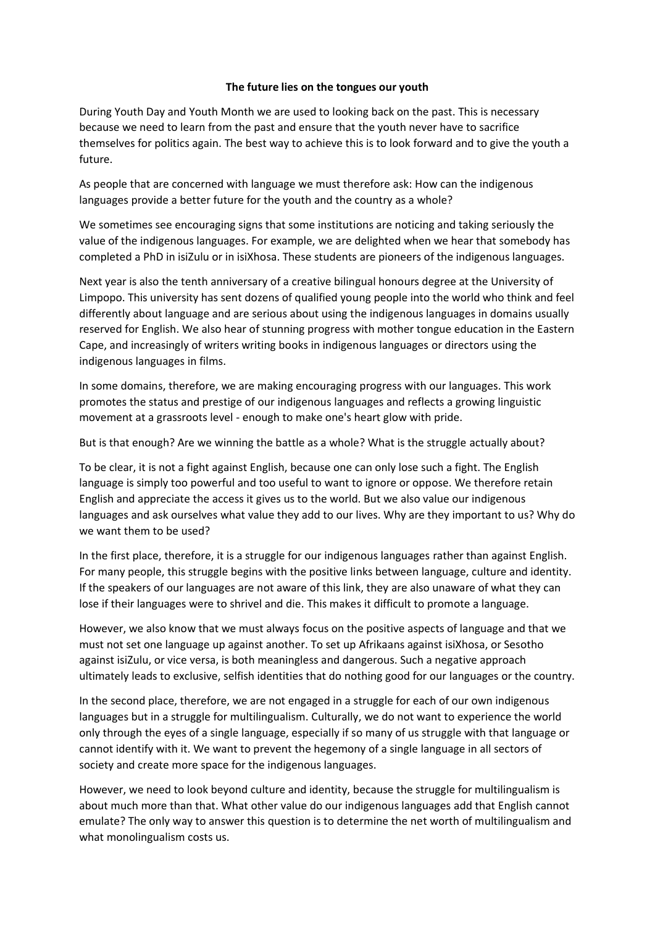## **The future lies on the tongues our youth**

During Youth Day and Youth Month we are used to looking back on the past. This is necessary because we need to learn from the past and ensure that the youth never have to sacrifice themselves for politics again. The best way to achieve this is to look forward and to give the youth a future.

As people that are concerned with language we must therefore ask: How can the indigenous languages provide a better future for the youth and the country as a whole?

We sometimes see encouraging signs that some institutions are noticing and taking seriously the value of the indigenous languages. For example, we are delighted when we hear that somebody has completed a PhD in isiZulu or in isiXhosa. These students are pioneers of the indigenous languages.

Next year is also the tenth anniversary of a creative bilingual honours degree at the University of Limpopo. This university has sent dozens of qualified young people into the world who think and feel differently about language and are serious about using the indigenous languages in domains usually reserved for English. We also hear of stunning progress with mother tongue education in the Eastern Cape, and increasingly of writers writing books in indigenous languages or directors using the indigenous languages in films.

In some domains, therefore, we are making encouraging progress with our languages. This work promotes the status and prestige of our indigenous languages and reflects a growing linguistic movement at a grassroots level - enough to make one's heart glow with pride.

But is that enough? Are we winning the battle as a whole? What is the struggle actually about?

To be clear, it is not a fight against English, because one can only lose such a fight. The English language is simply too powerful and too useful to want to ignore or oppose. We therefore retain English and appreciate the access it gives us to the world. But we also value our indigenous languages and ask ourselves what value they add to our lives. Why are they important to us? Why do we want them to be used?

In the first place, therefore, it is a struggle for our indigenous languages rather than against English. For many people, this struggle begins with the positive links between language, culture and identity. If the speakers of our languages are not aware of this link, they are also unaware of what they can lose if their languages were to shrivel and die. This makes it difficult to promote a language.

However, we also know that we must always focus on the positive aspects of language and that we must not set one language up against another. To set up Afrikaans against isiXhosa, or Sesotho against isiZulu, or vice versa, is both meaningless and dangerous. Such a negative approach ultimately leads to exclusive, selfish identities that do nothing good for our languages or the country.

In the second place, therefore, we are not engaged in a struggle for each of our own indigenous languages but in a struggle for multilingualism. Culturally, we do not want to experience the world only through the eyes of a single language, especially if so many of us struggle with that language or cannot identify with it. We want to prevent the hegemony of a single language in all sectors of society and create more space for the indigenous languages.

However, we need to look beyond culture and identity, because the struggle for multilingualism is about much more than that. What other value do our indigenous languages add that English cannot emulate? The only way to answer this question is to determine the net worth of multilingualism and what monolingualism costs us.